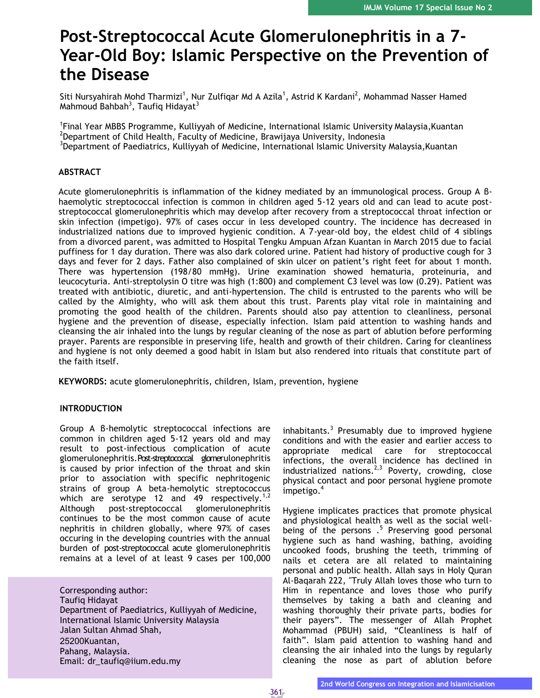# **Post-Streptococcal Acute Glomerulonephritis in a 7- Year-Old Boy: Islamic Perspective on the Prevention of the Disease**

Siti Nursyahirah Mohd Tharmizi<sup>1</sup>, Nur Zulfiqar Md A Azila<sup>1</sup>, Astrid K Kardani<sup>2</sup>, Mohammad Nasser Hamed Mahmoud Bahbah<sup>3</sup>, Taufiq Hidayat<sup>3</sup>

1 Final Year MBBS Programme, Kulliyyah of Medicine, International Islamic University Malaysia,Kuantan  $2$ Department of Child Health, Faculty of Medicine, Brawijaya University, Indonesia <sup>3</sup>Department of Paediatrics, Kulliyyah of Medicine, International Islamic University Malaysia, Kuantan

### **ABSTRACT**

Acute glomerulonephritis is inflammation of the kidney mediated by an immunological process. Group A βhaemolytic streptococcal infection is common in children aged 5-12 years old and can lead to acute poststreptococcal glomerulonephritis which may develop after recovery from a streptococcal throat infection or skin infection (impetigo). 97% of cases occur in less developed country. The incidence has decreased in industrialized nations due to improved hygienic condition. A 7-year-old boy, the eldest child of 4 siblings from a divorced parent, was admitted to Hospital Tengku Ampuan Afzan Kuantan in March 2015 due to facial puffiness for 1 day duration. There was also dark colored urine. Patient had history of productive cough for 3 days and fever for 2 days. Father also complained of skin ulcer on patient's right feet for about 1 month. There was hypertension (198/80 mmHg). Urine examination showed hematuria, proteinuria, and leucocyturia. Anti-streptolysin O titre was high (1:800) and complement C3 level was low (0.29). Patient was treated with antibiotic, diuretic, and anti-hypertension. The child is entrusted to the parents who will be called by the Almighty, who will ask them about this trust. Parents play vital role in maintaining and promoting the good health of the children. Parents should also pay attention to cleanliness, personal hygiene and the prevention of disease, especially infection. Islam paid attention to washing hands and cleansing the air inhaled into the lungs by regular cleaning of the nose as part of ablution before performing prayer. Parents are responsible in preserving life, health and growth of their children. Caring for cleanliness and hygiene is not only deemed a good habit in Islam but also rendered into rituals that constitute part of the faith itself.

**KEYWORDS:** acute glomerulonephritis, children, Islam, prevention, hygiene

#### **INTRODUCTION**

Group A β-hemolytic streptococcal infections are common in children aged 5-12 years old and may result to post-infectious complication of acute glomerulonephritis.Post-streptococcal glomerulonephritis is caused by prior infection of the throat and skin prior to association with specific nephritogenic strains of group A beta-hemolytic streptococcus which are serotype 12 and 49 respectively.<sup>1,2</sup> Although post-streptococcal glomerulonephritis continues to be the most common cause of acute nephritis in children globally, where 97% of cases occuring in the developing countries with the annual burden of post-streptococcal acute glomerulonephritis remains at a level of at least 9 cases per 100,000

Corresponding author: Taufiq Hidayat Department of Paediatrics, Kulliyyah of Medicine, International Islamic University Malaysia Jalan Sultan Ahmad Shah, 25200Kuantan, Pahang, Malaysia. Email: [dr\\_taufiq@iium.edu.my](mailto:dr_taufiq@iium.edu.my)

inhabitants.<sup>3</sup> Presumably due to improved hygiene conditions and with the easier and earlier access to appropriate medical care for streptococcal infections, the overall incidence has declined in industrialized nations.<sup>2,3</sup> Poverty, crowding, close physical contact and poor personal hygiene promote impetigo.<sup>4</sup>

Hygiene implicates practices that promote physical and physiological health as well as the social wellbeing of the persons  $.5$  Preserving good personal hygiene such as hand washing, bathing, avoiding uncooked foods, brushing the teeth, trimming of nails et cetera are all related to maintaining personal and public health. Allah says in Holy Quran Al-Baqarah 222, "Truly Allah loves those who turn to Him in repentance and loves those who purify themselves by taking a bath and cleaning and washing thoroughly their private parts, bodies for their payers". The messenger of Allah Prophet Mohammad (PBUH) said, "Cleanliness is half of faith". Islam paid attention to washing hand and cleansing the air inhaled into the lungs by regularly cleaning the nose as part of ablution before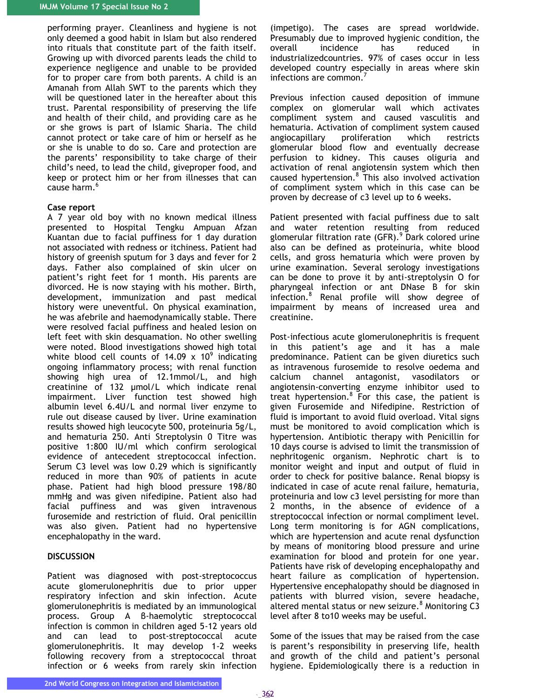performing prayer. Cleanliness and hygiene is not only deemed a good habit in Islam but also rendered into rituals that constitute part of the faith itself. Growing up with divorced parents leads the child to experience negligence and unable to be provided for to proper care from both parents. A child is an Amanah from Allah SWT to the parents which they will be questioned later in the hereafter about this trust. Parental responsibility of preserving the life and health of their child, and providing care as he or she grows is part of Islamic Sharia. The child cannot protect or take care of him or herself as he or she is unable to do so. Care and protection are the parents' responsibility to take charge of their child's need, to lead the child, giveproper food, and keep or protect him or her from illnesses that can cause harm.<sup>6</sup>

#### **Case report**

A 7 year old boy with no known medical illness presented to Hospital Tengku Ampuan Afzan Kuantan due to facial puffiness for 1 day duration not associated with redness or itchiness. Patient had history of greenish sputum for 3 days and fever for 2 days. Father also complained of skin ulcer on patient's right feet for 1 month. His parents are divorced. He is now staying with his mother. Birth, development, immunization and past medical history were uneventful. On physical examination, he was afebrile and haemodynamically stable. There were resolved facial puffiness and healed lesion on left feet with skin desquamation. No other swelling were noted. Blood investigations showed high total white blood cell counts of 14.09  $\times$  10<sup>9</sup> indicating ongoing inflammatory process; with renal function showing high urea of 12.1mmol/L, and high creatinine of 132 µmol/L which indicate renal impairment. Liver function test showed high albumin level 6.4U/L and normal liver enzyme to rule out disease caused by liver. Urine examination results showed high leucocyte 500, proteinuria 5g/L, and hematuria 250. Anti Streptolysin 0 Titre was positive 1:800 IU/ml which confirm serological evidence of antecedent streptococcal infection. Serum C3 level was low 0.29 which is significantly reduced in more than 90% of patients in acute phase. Patient had high blood pressure 198/80 mmHg and was given nifedipine. Patient also had facial puffiness and was given intravenous furosemide and restriction of fluid. Oral penicillin was also given. Patient had no hypertensive encephalopathy in the ward.

# **DISCUSSION**

Patient was diagnosed with post-streptococcus acute glomerulonephritis due to prior upper respiratory infection and skin infection. Acute glomerulonephritis is mediated by an immunological process. Group A β-haemolytic streptococcal infection is common in children aged 5-12 years old and can lead to post-streptococcal acute glomerulonephritis. It may develop 1-2 weeks following recovery from a streptococcal throat infection or 6 weeks from rarely skin infection

(impetigo). The cases are spread worldwide. Presumably due to improved hygienic condition, the overall incidence has reduced in industrializedcountries. 97% of cases occur in less developed country especially in areas where skin infections are common.<sup>7</sup>

Previous infection caused deposition of immune complex on glomerular wall which activates compliment system and caused vasculitis and hematuria. Activation of compliment system caused angiocapillary proliferation which restricts glomerular blood flow and eventually decrease perfusion to kidney. This causes oliguria and activation of renal angiotensin system which then caused hypertension.<sup>8</sup> This also involved activation of compliment system which in this case can be proven by decrease of c3 level up to 6 weeks.

Patient presented with facial puffiness due to salt and water retention resulting from reduced glomerular filtration rate  $(GFR)$ .<sup>9</sup> Dark colored urine also can be defined as proteinuria, white blood cells, and gross hematuria which were proven by urine examination. Several serology investigations can be done to prove it by anti-streptolysin O for pharyngeal infection or ant DNase B for skin infection.<sup>8</sup> Renal profile will show degree of impairment by means of increased urea and creatinine.

Post-infectious acute glomerulonephritis is frequent in this patient's age and it has a male predominance. Patient can be given diuretics such as intravenous furosemide to resolve oedema and calcium channel antagonist, vasodilators or angiotensin-converting enzyme inhibitor used to treat hypertension.<sup>8</sup> For this case, the patient is given Furosemide and Nifedipine. Restriction of fluid is important to avoid fluid overload. Vital signs must be monitored to avoid complication which is hypertension. Antibiotic therapy with Penicillin for 10 days course is advised to limit the transmission of nephritogenic organism. Nephrotic chart is to monitor weight and input and output of fluid in order to check for positive balance. Renal biopsy is indicated in case of acute renal failure, hematuria, proteinuria and low c3 level persisting for more than 2 months, in the absence of evidence of a streptococcal infection or normal compliment level. Long term monitoring is for AGN complications, which are hypertension and acute renal dysfunction by means of monitoring blood pressure and urine examination for blood and protein for one year. Patients have risk of developing encephalopathy and heart failure as complication of hypertension. Hypertensive encephalopathy should be diagnosed in patients with blurred vision, severe headache, altered mental status or new seizure. $8$  Monitoring C3 level after 8 to10 weeks may be useful.

Some of the issues that may be raised from the case is parent's responsibility in preserving life, health and growth of the child and patient's personal hygiene. Epidemiologically there is a reduction in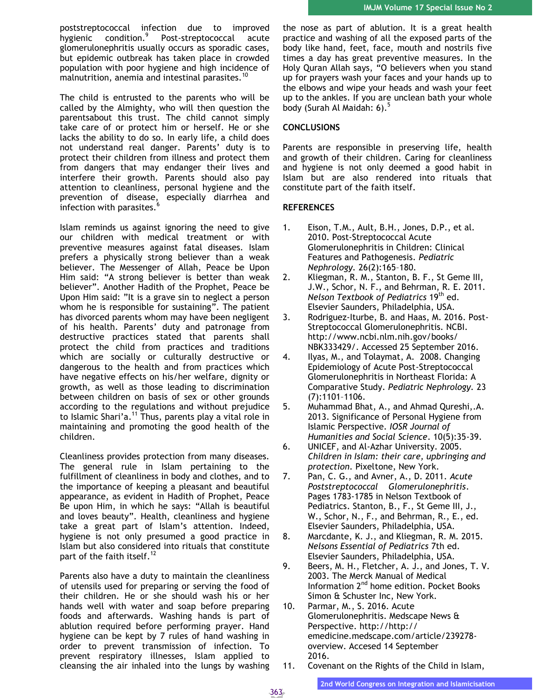poststreptococcal infection due to improved hygienic condition.<sup>9</sup> Post-streptococcal acute glomerulonephritis usually occurs as sporadic cases, but epidemic outbreak has taken place in crowded population with poor hygiene and high incidence of malnutrition, anemia and intestinal parasites.<sup>10</sup>

The child is entrusted to the parents who will be called by the Almighty, who will then question the parentsabout this trust. The child cannot simply take care of or protect him or herself. He or she lacks the ability to do so. In early life, a child does not understand real danger. Parents' duty is to protect their children from illness and protect them from dangers that may endanger their lives and interfere their growth. Parents should also pay attention to cleanliness, personal hygiene and the prevention of disease, especially diarrhea and infection with parasites.<sup>6</sup>

Islam reminds us against ignoring the need to give our children with medical treatment or with preventive measures against fatal diseases. Islam prefers a physically strong believer than a weak believer. The Messenger of Allah, Peace be Upon Him said: "A strong believer is better than weak believer". Another Hadith of the Prophet, Peace be Upon Him said: "It is a grave sin to neglect a person whom he is responsible for sustaining". The patient has divorced parents whom may have been negligent of his health. Parents' duty and patronage from destructive practices stated that parents shall protect the child from practices and traditions which are socially or culturally destructive or dangerous to the health and from practices which have negative effects on his/her welfare, dignity or growth, as well as those leading to discrimination between children on basis of sex or other grounds according to the regulations and without prejudice to Islamic Shari'a.<sup>11</sup> Thus, parents play a vital role in maintaining and promoting the good health of the children.

Cleanliness provides protection from many diseases. The general rule in Islam pertaining to the fulfillment of cleanliness in body and clothes, and to the importance of keeping a pleasant and beautiful appearance, as evident in Hadith of Prophet, Peace Be upon Him, in which he says: "Allah is beautiful and loves beauty". Health, cleanliness and hygiene take a great part of Islam's attention. Indeed, hygiene is not only presumed a good practice in Islam but also considered into rituals that constitute part of the faith itself.<sup>12</sup>

Parents also have a duty to maintain the cleanliness of utensils used for preparing or serving the food of their children. He or she should wash his or her hands well with water and soap before preparing foods and afterwards. Washing hands is part of ablution required before performing prayer. Hand hygiene can be kept by 7 rules of hand washing in order to prevent transmission of infection. To prevent respiratory illnesses, Islam applied to cleansing the air inhaled into the lungs by washing the nose as part of ablution. It is a great health practice and washing of all the exposed parts of the body like hand, feet, face, mouth and nostrils five times a day has great preventive measures. In the Holy Quran Allah says, "O believers when you stand up for prayers wash your faces and your hands up to the elbows and wipe your heads and wash your feet up to the ankles. If you are unclean bath your whole body (Surah Al Maidah: 6).<sup>5</sup>

# **CONCLUSIONS**

Parents are responsible in preserving life, health and growth of their children. Caring for cleanliness and hygiene is not only deemed a good habit in Islam but are also rendered into rituals that constitute part of the faith itself.

# **REFERENCES**

- 1. Eison, T.M., Ault, B.H., Jones, D.P., et al. 2010. Post-Streptococcal Acute Glomerulonephritis in Children: Clinical Features and Pathogenesis. *Pediatric Nephrology.* 26(2):165–180.
- 2. Kliegman, R. M., Stanton, B. F., St Geme III, J.W., Schor, N. F., and Behrman, R. E. 2011. *Nelson Textbook of Pediatrics* 19th ed. Elsevier Saunders, Philadelphia, USA.
- 3. Rodriguez-Iturbe, B. and Haas, M. 2016. Post-Streptococcal Glomerulonephritis. NCBI. [http://www.ncbi.nlm.nih.gov/books/](http://www.ncbi.nlm.nih.gov/books/NBK333429/) [NBK333429/.](http://www.ncbi.nlm.nih.gov/books/NBK333429/) Accessed 25 September 2016.
- 4. Ilyas, M., and Tolaymat, A. 2008. Changing Epidemiology of Acute Post-Streptococcal Glomerulonephritis in Northeast Florida: A Comparative Study. *Pediatric Nephrology.* 23 (7):1101–1106.
- 5. Muhammad Bhat, A., and Ahmad Qureshi,.A. 2013. Significance of Personal Hygiene from Islamic Perspective. *IOSR Journal of Humanities and Social Science*. 10(5):35-39.
- 6. UNICEF, and Al-Azhar University. 2005. *Children in Islam: their care, upbringing and protection*. Pixeltone, New York.
- 7. Pan, C. G., and Avner, A., D. 2011. *Acute Poststreptococcal Glomerulonephritis*. Pages 1783-1785 in Nelson Textbook of Pediatrics. Stanton, B., F., St Geme III, J., W., Schor, N., F., and Behrman, R., E., ed. Elsevier Saunders, Philadelphia, USA.
- 8. Marcdante, K. J., and Kliegman, R. M. 2015. *Nelsons Essential of Pediatrics* 7th ed. Elsevier Saunders, Philadelphia, USA.
- 9. Beers, M. H., Fletcher, A. J., and Jones, T. V. 2003. The Merck Manual of Medical Information 2nd home edition. Pocket Books Simon & Schuster Inc, New York.
- 10. Parmar, M., S. 2016. Acute Glomerulonephritis. Medscape News & Perspective. [http://http://](http://http:/emedicine.medscape.com/article/239278-overview) [emedicine.medscape.com/article/239278](http://http:/emedicine.medscape.com/article/239278-overview) [overview.](http://http:/emedicine.medscape.com/article/239278-overview) Accesed 14 September 2016.
- 11. Covenant on the Rights of the Child in Islam,